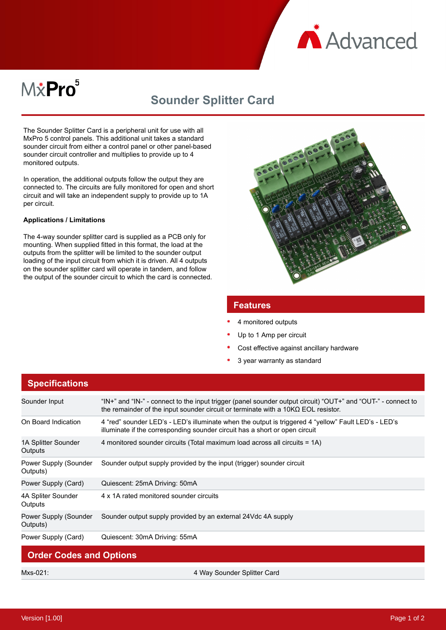

# M&Pro<sup>5</sup>

## **Sounder Splitter Card**

The Sounder Splitter Card is a peripheral unit for use with all MxPro 5 control panels. This additional unit takes a standard sounder circuit from either a control panel or other panel-based sounder circuit controller and multiplies to provide up to 4 monitored outputs.

In operation, the additional outputs follow the output they are connected to. The circuits are fully monitored for open and short circuit and will take an independent supply to provide up to 1A per circuit.

#### **Applications / Limitations**

The 4-way sounder splitter card is supplied as a PCB only for mounting. When supplied fitted in this format, the load at the outputs from the splitter will be limited to the sounder output loading of the input circuit from which it is driven. All 4 outputs on the sounder splitter card will operate in tandem, and follow the output of the sounder circuit to which the card is connected.



#### **Features**

- 4 monitored outputs
- Up to 1 Amp per circuit
- Cost effective against ancillary hardware
- 3 year warranty as standard

| <b>Specifications</b>             |                                                                                                                                                                                                          |
|-----------------------------------|----------------------------------------------------------------------------------------------------------------------------------------------------------------------------------------------------------|
| Sounder Input                     | "IN+" and "IN-" - connect to the input trigger (panel sounder output circuit) "OUT+" and "OUT-" - connect to<br>the remainder of the input sounder circuit or terminate with a $10K\Omega$ EOL resistor. |
| On Board Indication               | 4 "red" sounder LED's - LED's illuminate when the output is triggered 4 "yellow" Fault LED's - LED's<br>illuminate if the corresponding sounder circuit has a short or open circuit                      |
| 1A Splitter Sounder<br>Outputs    | 4 monitored sounder circuits (Total maximum load across all circuits = 1A)                                                                                                                               |
| Power Supply (Sounder<br>Outputs) | Sounder output supply provided by the input (trigger) sounder circuit                                                                                                                                    |
| Power Supply (Card)               | Quiescent: 25mA Driving: 50mA                                                                                                                                                                            |
| 4A Spliter Sounder<br>Outputs     | 4 x 1A rated monitored sounder circuits                                                                                                                                                                  |
| Power Supply (Sounder<br>Outputs) | Sounder output supply provided by an external 24Vdc 4A supply                                                                                                                                            |
| Power Supply (Card)               | Quiescent: 30mA Driving: 55mA                                                                                                                                                                            |
| <b>Order Codes and Options</b>    |                                                                                                                                                                                                          |

Mxs-021: 4 Way Sounder Splitter Card